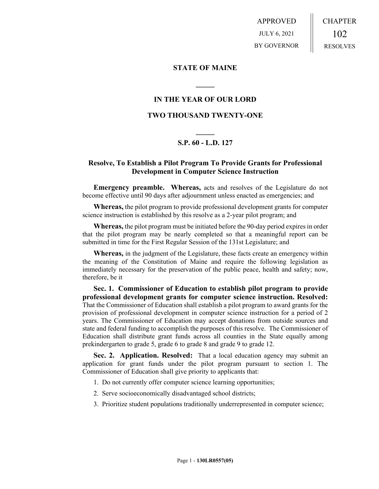APPROVED JULY 6, 2021 BY GOVERNOR CHAPTER 102 RESOLVES

#### **STATE OF MAINE**

## **IN THE YEAR OF OUR LORD**

**\_\_\_\_\_**

### **TWO THOUSAND TWENTY-ONE**

# **\_\_\_\_\_ S.P. 60 - L.D. 127**

## **Resolve, To Establish a Pilot Program To Provide Grants for Professional Development in Computer Science Instruction**

**Emergency preamble. Whereas,** acts and resolves of the Legislature do not become effective until 90 days after adjournment unless enacted as emergencies; and

**Whereas,** the pilot program to provide professional development grants for computer science instruction is established by this resolve as a 2-year pilot program; and

**Whereas,** the pilot program must be initiated before the 90-day period expires in order that the pilot program may be nearly completed so that a meaningful report can be submitted in time for the First Regular Session of the 131st Legislature; and

**Whereas,** in the judgment of the Legislature, these facts create an emergency within the meaning of the Constitution of Maine and require the following legislation as immediately necessary for the preservation of the public peace, health and safety; now, therefore, be it

**Sec. 1. Commissioner of Education to establish pilot program to provide professional development grants for computer science instruction. Resolved:**  That the Commissioner of Education shall establish a pilot program to award grants for the provision of professional development in computer science instruction for a period of 2 years. The Commissioner of Education may accept donations from outside sources and state and federal funding to accomplish the purposes of this resolve. The Commissioner of Education shall distribute grant funds across all counties in the State equally among prekindergarten to grade 5, grade 6 to grade 8 and grade 9 to grade 12.

**Sec. 2. Application. Resolved:** That a local education agency may submit an application for grant funds under the pilot program pursuant to section 1. The Commissioner of Education shall give priority to applicants that:

1. Do not currently offer computer science learning opportunities;

- 2. Serve socioeconomically disadvantaged school districts;
- 3. Prioritize student populations traditionally underrepresented in computer science;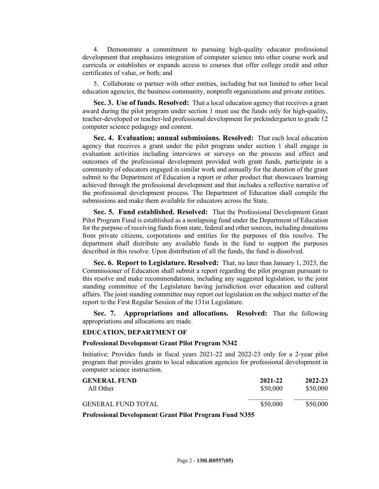4. Demonstrate a commitment to pursuing high-quality educator professional development that emphasizes integration of computer science into other course work and curricula or establishes or expands access to courses that offer college credit and other certificates of value, or both; and

5. Collaborate or partner with other entities, including but not limited to other local education agencies, the business community, nonprofit organizations and private entities.

**Sec. 3. Use of funds. Resolved:** That a local education agency that receives a grant award during the pilot program under section 1 must use the funds only for high-quality, teacher-developed or teacher-led professional development for prekindergarten to grade 12 computer science pedagogy and content.

**Sec. 4. Evaluation; annual submissions. Resolved:** That each local education agency that receives a grant under the pilot program under section 1 shall engage in evaluation activities including interviews or surveys on the process and effect and outcomes of the professional development provided with grant funds, participate in a community of educators engaged in similar work and annually for the duration of the grant submit to the Department of Education a report or other product that showcases learning achieved through the professional development and that includes a reflective narrative of the professional development process. The Department of Education shall compile the submissions and make them available for educators across the State.

**Sec. 5. Fund established. Resolved:** That the Professional Development Grant Pilot Program Fund is established as a nonlapsing fund under the Department of Education for the purpose of receiving funds from state, federal and other sources, including donations from private citizens, corporations and entities for the purposes of this resolve. The department shall distribute any available funds in the fund to support the purposes described in this resolve. Upon distribution of all the funds, the fund is dissolved.

**Sec. 6. Report to Legislature. Resolved:** That, no later than January 1, 2023, the Commissioner of Education shall submit a report regarding the pilot program pursuant to this resolve and make recommendations, including any suggested legislation, to the joint standing committee of the Legislature having jurisdiction over education and cultural affairs. The joint standing committee may report out legislation on the subject matter of the report to the First Regular Session of the 131st Legislature.

**Sec. 7. Appropriations and allocations. Resolved:** That the following appropriations and allocations are made.

#### **EDUCATION, DEPARTMENT OF**

#### **Professional Development Grant Pilot Program N342**

Initiative: Provides funds in fiscal years 2021-22 and 2022-23 only for a 2-year pilot program that provides grants to local education agencies for professional development in computer science instruction.

| <b>GENERAL FUND</b> | 2021-22  | 2022-23  |
|---------------------|----------|----------|
| All Other           | \$50,000 | \$50,000 |
| GENERAL FUND TOTAL  | \$50,000 | \$50,000 |

**Professional Development Grant Pilot Program Fund N355**